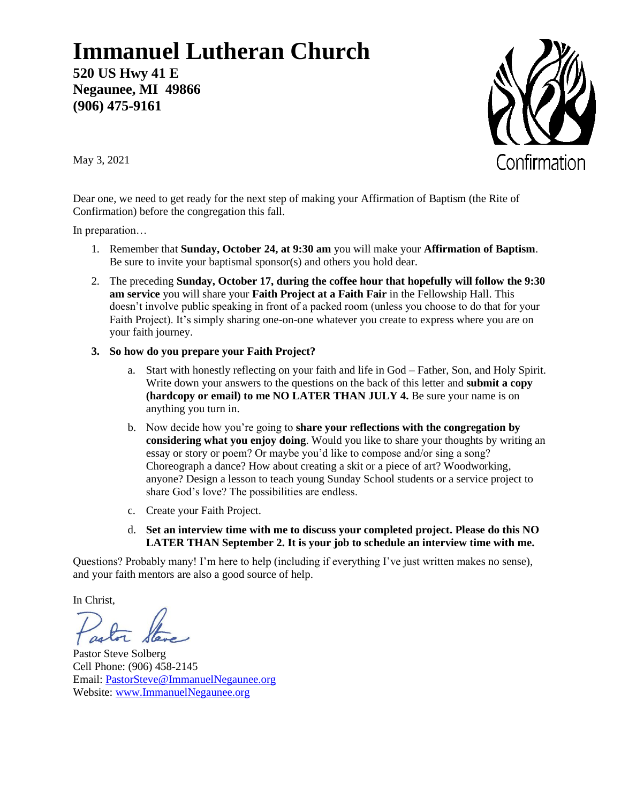## **Immanuel Lutheran Church**

**520 US Hwy 41 E Negaunee, MI 49866 (906) 475-9161**



May 3, 2021

Dear one, we need to get ready for the next step of making your Affirmation of Baptism (the Rite of Confirmation) before the congregation this fall.

In preparation…

- 1. Remember that **Sunday, October 24, at 9:30 am** you will make your **Affirmation of Baptism**. Be sure to invite your baptismal sponsor(s) and others you hold dear.
- 2. The preceding **Sunday, October 17, during the coffee hour that hopefully will follow the 9:30 am service** you will share your **Faith Project at a Faith Fair** in the Fellowship Hall. This doesn't involve public speaking in front of a packed room (unless you choose to do that for your Faith Project). It's simply sharing one-on-one whatever you create to express where you are on your faith journey.
- **3. So how do you prepare your Faith Project?**
	- a. Start with honestly reflecting on your faith and life in God Father, Son, and Holy Spirit. Write down your answers to the questions on the back of this letter and **submit a copy (hardcopy or email) to me NO LATER THAN JULY 4.** Be sure your name is on anything you turn in.
	- b. Now decide how you're going to **share your reflections with the congregation by considering what you enjoy doing**. Would you like to share your thoughts by writing an essay or story or poem? Or maybe you'd like to compose and/or sing a song? Choreograph a dance? How about creating a skit or a piece of art? Woodworking, anyone? Design a lesson to teach young Sunday School students or a service project to share God's love? The possibilities are endless.
	- c. Create your Faith Project.
	- d. **Set an interview time with me to discuss your completed project. Please do this NO LATER THAN September 2. It is your job to schedule an interview time with me.**

Questions? Probably many! I'm here to help (including if everything I've just written makes no sense), and your faith mentors are also a good source of help.

In Christ,

Pastor Steve Solberg Cell Phone: (906) 458-2145 Email: [PastorSteve@ImmanuelNegaunee.org](mailto:PastorSteve@ImmanuelNegaunee.org) Website: [www.ImmanuelNegaunee.org](http://www.immanuelnegaunee.org/)